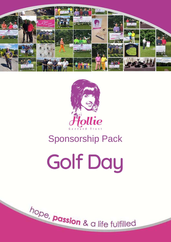



# Sponsorship Pack

Golf Day

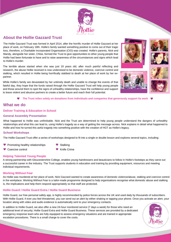

# **About the Hollie Gazzard Trust**

The Hollie Gazzard Trust was formed in April 2014, after the horrific murder of Hollie Gazzard at her place of work, on February 18th. Hollie's family wanted something positive to come out of their tragic loss, therefore, a Charitable Incorporated Organisation (CIO) was created. Hollie's parents, Nick and Mandy, alongside her sister, Chloe, formed the Trust to give opportunities to other young people that Hollie had been fortunate to have and to raise awareness of the circumstances and signs which lead to Hollie's murder.

The terrible abuse started when she was just 19 years old, after much painful reflecting and research, the abuse Hollie received is now understood to be domestic violence, coercive control and stalking, which resulted in Hollie being horrifically stabbed to death at her place of work by her expartner.

While Hollie's family are devastated by her untimely death and unable to change the events of that fateful day, they hope that the funds raised through the Hollie Gazzard Trust will help young people and those around them to spot the signs of unhealthy relationships, have the confidence and support to leave violent and abusive partners to create a better future and reach their full potential.









#### **The Trust relies solely on donations from individuals and companies that generously support its work**

### **What we do**

### **Deliver Training & Education in School**

#### **General Assembly Presentation**

What happened to Hollie was unthinkable. Nick and the Trust are determined to help young people understand the dangers of unhealthy relationships and what this can lead to, using Hollie's tragedy as a way of getting the message across. Nick explains in detail what happened to Hollie and how he turned this awful tragedy into something positive with the creation of HGT as Hollie's legacy.

### **School Workshops**

Coercive control

The Hollie Gazzard Trust offer a series of workshops designed to fit into a single or double lesson and explores several topics, including:

- Promoting healthy relationships
- **Stalking**
- Knife Crime

### **Helping Talented Young People**

A strong partnership with Gloucestershire College, enables young hairdressers and beauticians to follow in Hollie's footsteps as they carve out a successful career in the industry. The Trust supports students in education and training by providing equipment, resources and meeting individual requirements.

#### **Working Without Fear**

As Hollie was murdered at her place of work, Nick Gazzard wanted to create awareness of domestic violence/abuse, stalking and coercive control in the workplace. Working Without Fear is a tailor-made programme designed to help organisations recognise what domestic abuse and stalking is, the implications and help them respond appropriately so that staff are protected.

### **Hollie Guard / Hollie Guard Extra / Hollie Guard Business**

Hollie Guard, our free personal safety app, is highly recommended by police forces across the UK and used daily by thousands of subscribers. With Hollie Guard, if ever you feel threatened, you can send out an alert by either shaking or tapping your phone. Once you activate an alert, your location along with video and audio evidence is automatically sent to your emergency contacts.

In addition to Hollie Guard, we also offer a new 24-hour monitored service (7 days a week) for those who need an additional level of security; Hollie Guard Extra and Hollie Guard Business. These services are provided by a dedicated emergency response team who are fully equipped to assess emergency situations and are trained in appropriate escalation procedures. There is a small charge to cover the costs.

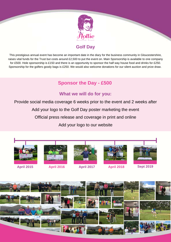

# **Golf Day**

This prestigious annual event has become an important date in the diary for the business community in Gloucestershire, raises vital funds for the Trust but costs around £2,500 to put the event on. Main Sponsorship is available to one company for £500. Hole sponsorship is £150 and there is an opportunity to sponsor the half way house food and drinks for £250. Sponsorship for the golfers goody bags is £250. We would also welcome donations for our silent auction and prize draw.

# **Sponsor the Day - £500**

# **What we will do for you:**

Provide social media coverage 6 weeks prior to the event and 2 weeks after

Add your logo to the Golf Day poster marketing the event

Official press release and coverage in print and online

Add your logo to our website